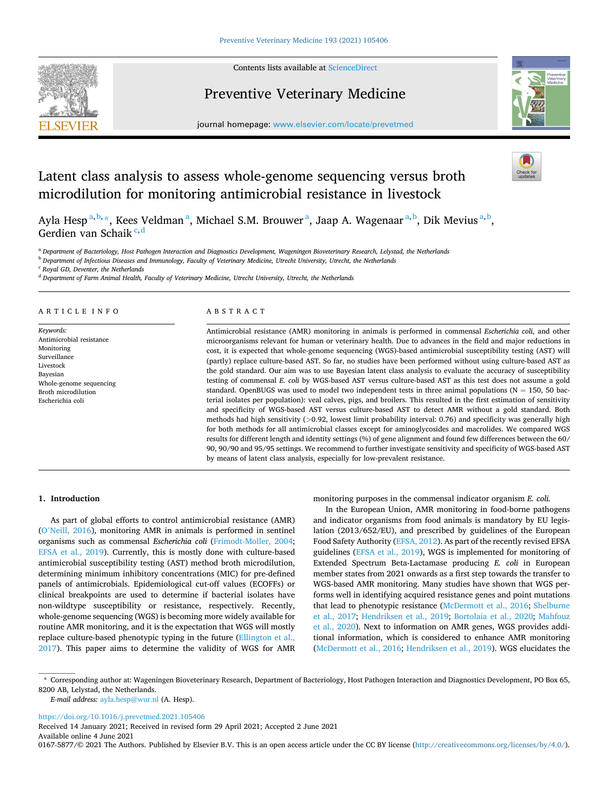Contents lists available at [ScienceDirect](www.sciencedirect.com/science/journal/01675877)



# Preventive Veterinary Medicine



journal homepage: [www.elsevier.com/locate/prevetmed](https://www.elsevier.com/locate/prevetmed) 

# Latent class analysis to assess whole-genome sequencing versus broth microdilution for monitoring antimicrobial resistance in livestock

Ayla Hesp<sup>a,b,</sup>\*, Kees Veldman<sup>a</sup>, Michael S.M. Brouwer<sup>a</sup>, Jaap A. Wagenaar<sup>a,b</sup>, Dik Mevius<sup>a,b</sup>, Gerdien van Schaik<sup>c, d</sup>

<sup>a</sup> *Department of Bacteriology, Host Pathogen Interaction and Diagnostics Development, Wageningen Bioveterinary Research, Lelystad, the Netherlands* 

<sup>b</sup> *Department of Infectious Diseases and Immunology, Faculty of Veterinary Medicine, Utrecht University, Utrecht, the Netherlands* 

<sup>c</sup> *Royal GD, Deventer, the Netherlands* 

<sup>d</sup> *Department of Farm Animal Health, Faculty of Veterinary Medicine, Utrecht University, Utrecht, the Netherlands* 

# ARTICLE INFO

*Keywords:*  Antimicrobial resistance Monitoring Surveillance Livestock Bayesian Whole-genome sequencing Broth microdilution Escherichia coli

# ABSTRACT

Antimicrobial resistance (AMR) monitoring in animals is performed in commensal *Escherichia coli*, and other microorganisms relevant for human or veterinary health. Due to advances in the field and major reductions in cost, it is expected that whole-genome sequencing (WGS)-based antimicrobial susceptibility testing (AST) will (partly) replace culture-based AST. So far, no studies have been performed without using culture-based AST as the gold standard. Our aim was to use Bayesian latent class analysis to evaluate the accuracy of susceptibility testing of commensal *E. coli* by WGS-based AST versus culture-based AST as this test does not assume a gold standard. OpenBUGS was used to model two independent tests in three animal populations ( $N = 150$ , 50 bacterial isolates per population): veal calves, pigs, and broilers. This resulted in the first estimation of sensitivity and specificity of WGS-based AST versus culture-based AST to detect AMR without a gold standard. Both methods had high sensitivity (*>*0.92, lowest limit probability interval: 0.76) and specificity was generally high for both methods for all antimicrobial classes except for aminoglycosides and macrolides. We compared WGS results for different length and identity settings (%) of gene alignment and found few differences between the 60/ 90, 90/90 and 95/95 settings. We recommend to further investigate sensitivity and specificity of WGS-based AST by means of latent class analysis, especially for low-prevalent resistance.

# **1. Introduction**

As part of global efforts to control antimicrobial resistance (AMR) (O'[Neill, 2016](#page-5-0)), monitoring AMR in animals is performed in sentinel organisms such as commensal *Escherichia coli* [\(Frimodt-Moller, 2004](#page-5-0); [EFSA et al., 2019\)](#page-5-0). Currently, this is mostly done with culture-based antimicrobial susceptibility testing (AST) method broth microdilution, determining minimum inhibitory concentrations (MIC) for pre-defined panels of antimicrobials. Epidemiological cut-off values (ECOFFs) or clinical breakpoints are used to determine if bacterial isolates have non-wildtype susceptibility or resistance, respectively. Recently, whole-genome sequencing (WGS) is becoming more widely available for routine AMR monitoring, and it is the expectation that WGS will mostly replace culture-based phenotypic typing in the future ([Ellington et al.,](#page-5-0)  [2017\)](#page-5-0). This paper aims to determine the validity of WGS for AMR monitoring purposes in the commensal indicator organism *E. coli.* 

In the European Union, AMR monitoring in food-borne pathogens and indicator organisms from food animals is mandatory by EU legislation (2013/652/EU), and prescribed by guidelines of the European Food Safety Authority ([EFSA, 2012\)](#page-5-0). As part of the recently revised EFSA guidelines [\(EFSA et al., 2019\)](#page-5-0), WGS is implemented for monitoring of Extended Spectrum Beta-Lactamase producing *E. coli* in European member states from 2021 onwards as a first step towards the transfer to WGS-based AMR monitoring. Many studies have shown that WGS performs well in identifying acquired resistance genes and point mutations that lead to phenotypic resistance [\(McDermott et al., 2016](#page-5-0); [Shelburne](#page-5-0)  [et al., 2017](#page-5-0); [Hendriksen et al., 2019;](#page-5-0) [Bortolaia et al., 2020;](#page-5-0) [Mahfouz](#page-5-0)  [et al., 2020\)](#page-5-0). Next to information on AMR genes, WGS provides additional information, which is considered to enhance AMR monitoring ([McDermott et al., 2016;](#page-5-0) [Hendriksen et al., 2019](#page-5-0)). WGS elucidates the

*E-mail address:* [ayla.hesp@wur.nl](mailto:ayla.hesp@wur.nl) (A. Hesp).

<https://doi.org/10.1016/j.prevetmed.2021.105406>

Available online 4 June 2021 Received 14 January 2021; Received in revised form 29 April 2021; Accepted 2 June 2021

0167-5877/© 2021 The Authors. Published by Elsevier B.V. This is an open access article under the CC BY license [\(http://creativecommons.org/licenses/by/4.0/\)](http://creativecommons.org/licenses/by/4.0/).

<sup>\*</sup> Corresponding author at: Wageningen Bioveterinary Research, Department of Bacteriology, Host Pathogen Interaction and Diagnostics Development, PO Box 65, 8200 AB, Lelystad, the Netherlands.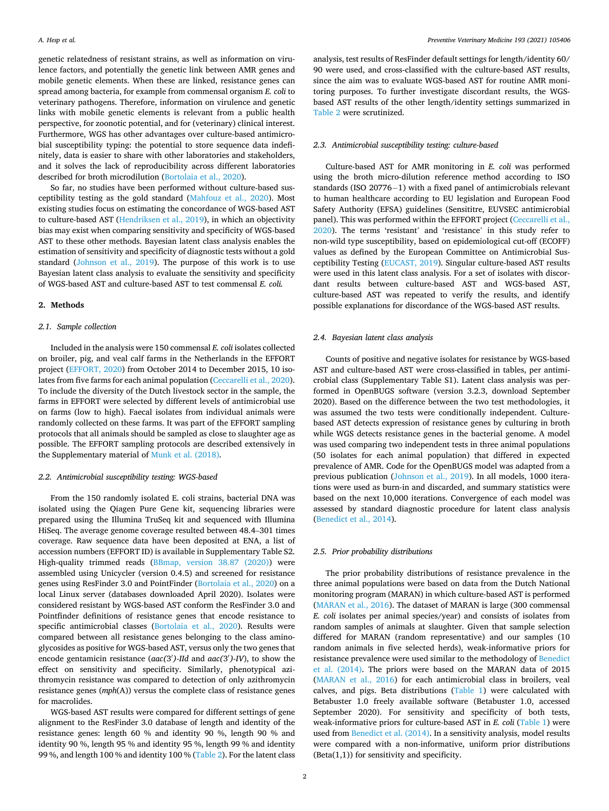genetic relatedness of resistant strains, as well as information on virulence factors, and potentially the genetic link between AMR genes and mobile genetic elements. When these are linked, resistance genes can spread among bacteria, for example from commensal organism *E. coli* to veterinary pathogens. Therefore, information on virulence and genetic links with mobile genetic elements is relevant from a public health perspective, for zoonotic potential, and for (veterinary) clinical interest. Furthermore, WGS has other advantages over culture-based antimicrobial susceptibility typing: the potential to store sequence data indefinitely, data is easier to share with other laboratories and stakeholders, and it solves the lack of reproducibility across different laboratories described for broth microdilution [\(Bortolaia et al., 2020\)](#page-5-0).

So far, no studies have been performed without culture-based susceptibility testing as the gold standard ([Mahfouz et al., 2020\)](#page-5-0). Most existing studies focus on estimating the concordance of WGS-based AST to culture-based AST ([Hendriksen et al., 2019](#page-5-0)), in which an objectivity bias may exist when comparing sensitivity and specificity of WGS-based AST to these other methods. Bayesian latent class analysis enables the estimation of sensitivity and specificity of diagnostic tests without a gold standard ([Johnson et al., 2019\)](#page-5-0). The purpose of this work is to use Bayesian latent class analysis to evaluate the sensitivity and specificity of WGS-based AST and culture-based AST to test commensal *E. coli.* 

## **2. Methods**

# *2.1. Sample collection*

Included in the analysis were 150 commensal *E. coli* isolates collected on broiler, pig, and veal calf farms in the Netherlands in the EFFORT project ([EFFORT, 2020](#page-5-0)) from October 2014 to December 2015, 10 isolates from five farms for each animal population [\(Ceccarelli et al., 2020](#page-5-0)). To include the diversity of the Dutch livestock sector in the sample, the farms in EFFORT were selected by different levels of antimicrobial use on farms (low to high). Faecal isolates from individual animals were randomly collected on these farms. It was part of the EFFORT sampling protocols that all animals should be sampled as close to slaughter age as possible. The EFFORT sampling protocols are described extensively in the Supplementary material of [Munk et al. \(2018\).](#page-5-0)

## *2.2. Antimicrobial susceptibility testing: WGS-based*

From the 150 randomly isolated E. coli strains, bacterial DNA was isolated using the Qiagen Pure Gene kit, sequencing libraries were prepared using the Illumina TruSeq kit and sequenced with Illumina HiSeq. The average genome coverage resulted between 48.4–301 times coverage. Raw sequence data have been deposited at ENA, a list of accession numbers (EFFORT ID) is available in Supplementary Table S2. High-quality trimmed reads [\(BBmap, version 38.87 \(2020\)](#page-4-0)) were assembled using Unicycler (version 0.4.5) and screened for resistance genes using ResFinder 3.0 and PointFinder ([Bortolaia et al., 2020](#page-5-0)) on a local Linux server (databases downloaded April 2020). Isolates were considered resistant by WGS-based AST conform the ResFinder 3.0 and Pointfinder definitions of resistance genes that encode resistance to specific antimicrobial classes [\(Bortolaia et al., 2020](#page-5-0)). Results were compared between all resistance genes belonging to the class aminoglycosides as positive for WGS-based AST, versus only the two genes that encode gentamicin resistance (*aac(*3′ *)-IId* and *aac(*3′ *)-IV*), to show the effect on sensitivity and specificity. Similarly, phenotypical azithromycin resistance was compared to detection of only azithromycin resistance genes (*mph*(A)) versus the complete class of resistance genes for macrolides.

WGS-based AST results were compared for different settings of gene alignment to the ResFinder 3.0 database of length and identity of the resistance genes: length 60 % and identity 90 %, length 90 % and identity 90 %, length 95 % and identity 95 %, length 99 % and identity 99 %, and length 100 % and identity 100 % ([Table 2](#page-2-0)). For the latent class analysis, test results of ResFinder default settings for length/identity 60/ 90 were used, and cross-classified with the culture-based AST results, since the aim was to evaluate WGS-based AST for routine AMR monitoring purposes. To further investigate discordant results, the WGSbased AST results of the other length/identity settings summarized in [Table 2](#page-2-0) were scrutinized.

## *2.3. Antimicrobial susceptibility testing: culture-based*

Culture-based AST for AMR monitoring in *E. coli* was performed using the broth micro-dilution reference method according to ISO standards (ISO 20776− 1) with a fixed panel of antimicrobials relevant to human healthcare according to EU legislation and European Food Safety Authority (EFSA) guidelines (Sensititre, EUVSEC antimicrobial panel). This was performed within the EFFORT project ([Ceccarelli et al.,](#page-5-0)  [2020\)](#page-5-0). The terms 'resistant' and 'resistance' in this study refer to non-wild type susceptibility, based on epidemiological cut-off (ECOFF) values as defined by the European Committee on Antimicrobial Susceptibility Testing [\(EUCAST, 2019](#page-5-0)). Singular culture-based AST results were used in this latent class analysis. For a set of isolates with discordant results between culture-based AST and WGS-based AST, culture-based AST was repeated to verify the results, and identify possible explanations for discordance of the WGS-based AST results.

## *2.4. Bayesian latent class analysis*

Counts of positive and negative isolates for resistance by WGS-based AST and culture-based AST were cross-classified in tables, per antimicrobial class (Supplementary Table S1). Latent class analysis was performed in OpenBUGS software (version 3.2.3, download September 2020). Based on the difference between the two test methodologies, it was assumed the two tests were conditionally independent. Culturebased AST detects expression of resistance genes by culturing in broth while WGS detects resistance genes in the bacterial genome. A model was used comparing two independent tests in three animal populations (50 isolates for each animal population) that differed in expected prevalence of AMR. Code for the OpenBUGS model was adapted from a previous publication [\(Johnson et al., 2019](#page-5-0)). In all models, 1000 iterations were used as burn-in and discarded, and summary statistics were based on the next 10,000 iterations. Convergence of each model was assessed by standard diagnostic procedure for latent class analysis ([Benedict et al., 2014\)](#page-4-0).

# *2.5. Prior probability distributions*

The prior probability distributions of resistance prevalence in the three animal populations were based on data from the Dutch National monitoring program (MARAN) in which culture-based AST is performed ([MARAN et al., 2016\)](#page-5-0). The dataset of MARAN is large (300 commensal *E. coli* isolates per animal species/year) and consists of isolates from random samples of animals at slaughter. Given that sample selection differed for MARAN (random representative) and our samples (10 random animals in five selected herds), weak-informative priors for resistance prevalence were used similar to the methodology of [Benedict](#page-4-0)  [et al. \(2014\)](#page-4-0). The priors were based on the MARAN data of 2015 ([MARAN et al., 2016\)](#page-5-0) for each antimicrobial class in broilers, veal calves, and pigs. Beta distributions [\(Table 1\)](#page-2-0) were calculated with Betabuster 1.0 freely available software (Betabuster 1.0, accessed September 2020). For sensitivity and specificity of both tests, weak-informative priors for culture-based AST in *E. coli* ([Table 1](#page-2-0)) were used from [Benedict et al. \(2014\)](#page-4-0). In a sensitivity analysis, model results were compared with a non-informative, uniform prior distributions  $(Beta(1,1))$  for sensitivity and specificity.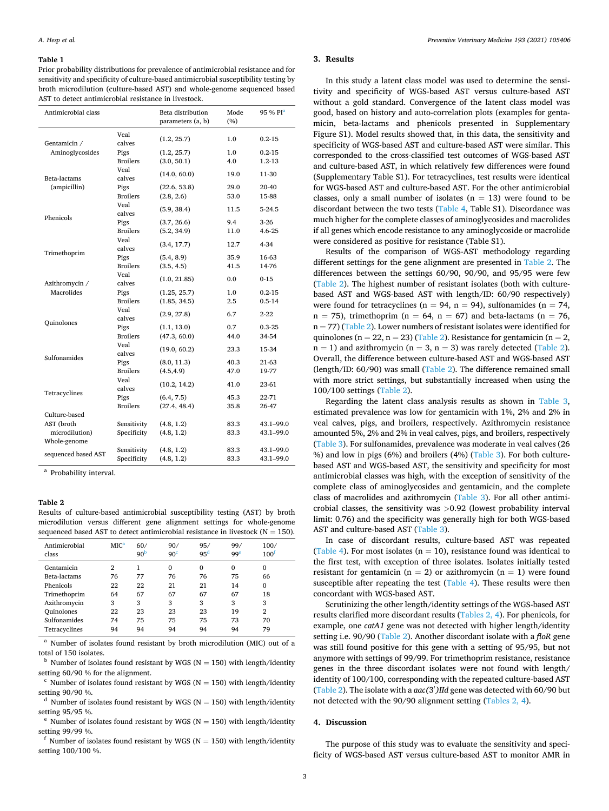#### <span id="page-2-0"></span>**Table 1**

Prior probability distributions for prevalence of antimicrobial resistance and for sensitivity and specificity of culture-based antimicrobial susceptibility testing by broth microdilution (culture-based AST) and whole-genome sequenced based AST to detect antimicrobial resistance in livestock.

| Antimicrobial class |                         | Beta distribution<br>parameters (a, b) | Mode<br>(%) | 95 % PI <sup>a</sup> |
|---------------------|-------------------------|----------------------------------------|-------------|----------------------|
| Gentamicin /        | Veal<br>calves          | (1.2, 25.7)                            | 1.0         | $0.2 - 15$           |
| Aminoglycosides     | Pigs<br><b>Broilers</b> | (1.2, 25.7)<br>(3.0, 50.1)             | 1.0<br>4.0  | $0.2 - 15$<br>1.2-13 |
| Beta-lactams        | Veal<br>calves          | (14.0, 60.0)                           | 19.0        | 11-30                |
| (ampicillin)        | Pigs                    | (22.6, 53.8)                           | 29.0        | 20-40                |
|                     | <b>Broilers</b>         | (2.8, 2.6)                             | 53.0        | 15-88                |
| Phenicols           | Veal<br>calves          | (5.9, 38.4)                            | 11.5        | $5-24.5$             |
|                     | Pigs                    | (3.7, 26.6)                            | 9.4         | $3-26$               |
|                     | <b>Broilers</b>         | (5.2, 34.9)                            | 11.0        | $4.6 - 25$           |
| Trimethoprim        | Veal<br>calves          | (3.4, 17.7)                            | 12.7        | $4 - 34$             |
|                     | Pigs                    | (5.4, 8.9)                             | 35.9        | 16-63                |
|                     | <b>Broilers</b>         | (3.5, 4.5)                             | 41.5        | 14-76                |
| Azithromycin /      | Veal<br>calves          | (1.0, 21.85)                           | 0.0         | $0 - 15$             |
| Macrolides          | Pigs                    | (1.25, 25.7)                           | 1.0         | $0.2 - 15$           |
|                     | <b>Broilers</b>         | (1.85, 34.5)                           | $2.5\,$     | $0.5 - 14$           |
| <b>Quinolones</b>   | Veal<br>calves          | (2.9, 27.8)                            | 6.7         | $2 - 22$             |
|                     | Pigs                    | (1.1, 13.0)                            | 0.7         | $0.3 - 25$           |
|                     | <b>Broilers</b>         | (47.3, 60.0)                           | 44.0        | 34-54                |
| Sulfonamides        | Veal<br>calves          | (19.0, 60.2)                           | 23.3        | 15-34                |
|                     | Pigs                    | (8.0, 11.3)                            | 40.3        | 21-63                |
|                     | <b>Broilers</b>         | (4.5, 4.9)                             | 47.0        | 19-77                |
| Tetracyclines       | Veal<br>calves          | (10.2, 14.2)                           | 41.0        | 23-61                |
|                     | Pigs                    | (6.4, 7.5)                             | 45.3        | 22-71                |
|                     | <b>Broilers</b>         | (27.4, 48.4)                           | 35.8        | 26-47                |
| Culture-based       |                         |                                        |             |                      |
| AST (broth          | Sensitivity             | (4.8, 1.2)                             | 83.3        | 43.1-99.0            |
| microdilution)      | Specificity             | (4.8, 1.2)                             | 83.3        | 43.1-99.0            |
| Whole-genome        |                         |                                        |             |                      |
| sequenced based AST | Sensitivity             | (4.8, 1.2)                             | 83.3        | 43.1-99.0            |
|                     | Specificity             | (4.8, 1.2)                             | 83.3        | 43.1-99.0            |

<sup>a</sup> Probability interval.

## **Table 2**

Results of culture-based antimicrobial susceptibility testing (AST) by broth microdilution versus different gene alignment settings for whole-genome sequenced based AST to detect antimicrobial resistance in livestock ( $N = 150$ ).

| Antimicrobial<br>class | MIC <sup>a</sup> | 60/<br>90 <sup>b</sup> | 90/<br>90 <sup>c</sup> | 95/<br>95 <sup>d</sup> | 99/<br>99 <sup>e</sup> | 100/<br>100 <sup>t</sup> |
|------------------------|------------------|------------------------|------------------------|------------------------|------------------------|--------------------------|
| Gentamicin             | 2                |                        | 0                      | $\Omega$               | $\Omega$               | 0                        |
| Beta-lactams           | 76               | 77                     | 76                     | 76                     | 75                     | 66                       |
| Phenicols              | 22               | 22                     | 21                     | 21                     | 14                     | 0                        |
| Trimethoprim           | 64               | 67                     | 67                     | 67                     | 67                     | 18                       |
| Azithromycin           | 3                | 3                      | 3                      | 3                      | 3                      | 3                        |
| <b>Quinolones</b>      | 22               | 23                     | 23                     | 23                     | 19                     | $\overline{2}$           |
| Sulfonamides           | 74               | 75                     | 75                     | 75                     | 73                     | 70                       |
| Tetracyclines          | 94               | 94                     | 94                     | 94                     | 94                     | 79                       |
|                        |                  |                        |                        |                        |                        |                          |

Number of isolates found resistant by broth microdilution (MIC) out of a

total of 150 isolates.<br><sup>b</sup> Number of isolates found resistant by WGS (N = 150) with length/identity setting 60/90 % for the alignment.<br>c Number of isolates found resistant by WGS (N = 150) with length/identity

setting 90/90 %. d Number of isolates found resistant by WGS (N = 150) with length/identity setting 95/95 %.<br><sup>e</sup> Number of isolates found resistant by WGS (N = 150) with length/identity

setting 99/99 %.<br> $\frac{f}{f}$  Number of isolates found resistant by WGS (N = 150) with length/identity

setting 100/100 %.

# **3. Results**

In this study a latent class model was used to determine the sensitivity and specificity of WGS-based AST versus culture-based AST without a gold standard. Convergence of the latent class model was good, based on history and auto-correlation plots (examples for gentamicin, beta-lactams and phenicols presented in Supplementary Figure S1). Model results showed that, in this data, the sensitivity and specificity of WGS-based AST and culture-based AST were similar. This corresponded to the cross-classified test outcomes of WGS-based AST and culture-based AST, in which relatively few differences were found (Supplementary Table S1). For tetracyclines, test results were identical for WGS-based AST and culture-based AST. For the other antimicrobial classes, only a small number of isolates  $(n = 13)$  were found to be discordant between the two tests ([Table 4,](#page-3-0) Table S1). Discordance was much higher for the complete classes of aminoglycosides and macrolides if all genes which encode resistance to any aminoglycoside or macrolide were considered as positive for resistance (Table S1).

Results of the comparison of WGS-AST methodology regarding different settings for the gene alignment are presented in Table 2. The differences between the settings 60/90, 90/90, and 95/95 were few (Table 2). The highest number of resistant isolates (both with culturebased AST and WGS-based AST with length/ID: 60/90 respectively) were found for tetracyclines ( $n = 94$ ,  $n = 94$ ), sulfonamides ( $n = 74$ ,  $n = 75$ ), trimethoprim ( $n = 64$ ,  $n = 67$ ) and beta-lactams ( $n = 76$ ,  $n = 77$ ) (Table 2). Lower numbers of resistant isolates were identified for quinolones (n = 22, n = 23) (Table 2). Resistance for gentamicin (n = 2,  $n = 1$ ) and azithromycin ( $n = 3$ ,  $n = 3$ ) was rarely detected (Table 2). Overall, the difference between culture-based AST and WGS-based AST (length/ID: 60/90) was small (Table 2). The difference remained small with more strict settings, but substantially increased when using the 100/100 settings (Table 2).

Regarding the latent class analysis results as shown in [Table 3](#page-3-0), estimated prevalence was low for gentamicin with 1%, 2% and 2% in veal calves, pigs, and broilers, respectively. Azithromycin resistance amounted 5%, 2% and 2% in veal calves, pigs, and broilers, respectively ([Table 3\)](#page-3-0). For sulfonamides, prevalence was moderate in veal calves (26 %) and low in pigs (6%) and broilers (4%) [\(Table 3\)](#page-3-0). For both culturebased AST and WGS-based AST, the sensitivity and specificity for most antimicrobial classes was high, with the exception of sensitivity of the complete class of aminoglycosides and gentamicin, and the complete class of macrolides and azithromycin [\(Table 3\)](#page-3-0). For all other antimicrobial classes, the sensitivity was *>*0.92 (lowest probability interval limit: 0.76) and the specificity was generally high for both WGS-based AST and culture-based AST [\(Table 3\)](#page-3-0).

In case of discordant results, culture-based AST was repeated ([Table 4](#page-3-0)). For most isolates ( $n = 10$ ), resistance found was identical to the first test, with exception of three isolates. Isolates initially tested resistant for gentamicin ( $n = 2$ ) or azithromycin ( $n = 1$ ) were found susceptible after repeating the test ([Table 4](#page-3-0)). These results were then concordant with WGS-based AST.

Scrutinizing the other length/identity settings of the WGS-based AST results clarified more discordant results (Tables 2, 4). For phenicols, for example, one *catA1* gene was not detected with higher length/identity setting i.e. 90/90 (Table 2). Another discordant isolate with a *floR* gene was still found positive for this gene with a setting of 95/95, but not anymore with settings of 99/99. For trimethoprim resistance, resistance genes in the three discordant isolates were not found with length/ identity of 100/100, corresponding with the repeated culture-based AST (Table 2). The isolate with a *aac(*3′ *)IId* gene was detected with 60/90 but not detected with the 90/90 alignment setting (Tables 2, 4).

# **4. Discussion**

The purpose of this study was to evaluate the sensitivity and specificity of WGS-based AST versus culture-based AST to monitor AMR in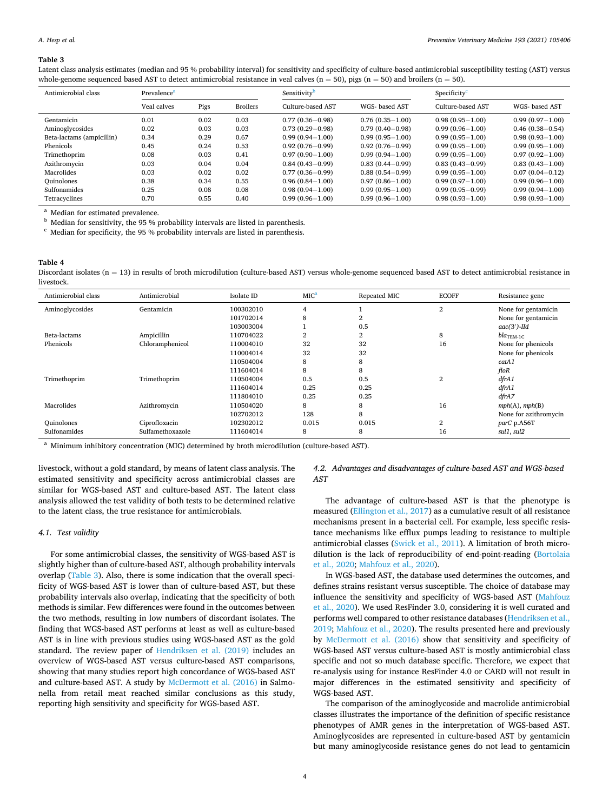#### <span id="page-3-0"></span>**Table 3**

Latent class analysis estimates (median and 95 % probability interval) for sensitivity and specificity of culture-based antimicrobial susceptibility testing (AST) versus whole-genome sequenced based AST to detect antimicrobial resistance in veal calves ( $n = 50$ ), pigs ( $n = 50$ ) and broilers ( $n = 50$ ).

| Antimicrobial class       | Prevalence <sup>a</sup> |      | Sensitivity     |                     | Specificity <sup>c</sup> |                     |                     |
|---------------------------|-------------------------|------|-----------------|---------------------|--------------------------|---------------------|---------------------|
|                           | Veal calves             | Pigs | <b>Broilers</b> | Culture-based AST   | WGS- based AST           | Culture-based AST   | WGS- based AST      |
| Gentamicin                | 0.01                    | 0.02 | 0.03            | $0.77(0.36 - 0.98)$ | $0.76(0.35-1.00)$        | $0.98(0.95 - 1.00)$ | $0.99(0.97 - 1.00)$ |
| Aminoglycosides           | 0.02                    | 0.03 | 0.03            | $0.73(0.29 - 0.98)$ | $0.79(0.40 - 0.98)$      | $0.99(0.96 - 1.00)$ | $0.46(0.38 - 0.54)$ |
| Beta-lactams (ampicillin) | 0.34                    | 0.29 | 0.67            | $0.99(0.94 - 1.00)$ | $0.99(0.95 - 1.00)$      | $0.99(0.95 - 1.00)$ | $0.98(0.93 - 1.00)$ |
| Phenicols                 | 0.45                    | 0.24 | 0.53            | $0.92(0.76 - 0.99)$ | $0.92(0.76 - 0.99)$      | $0.99(0.95 - 1.00)$ | $0.99(0.95 - 1.00)$ |
| Trimethoprim              | 0.08                    | 0.03 | 0.41            | $0.97(0.90 - 1.00)$ | $0.99(0.94 - 1.00)$      | $0.99(0.95 - 1.00)$ | $0.97(0.92 - 1.00)$ |
| Azithromycin              | 0.03                    | 0.04 | 0.04            | $0.84(0.43 - 0.99)$ | $0.83(0.44 - 0.99)$      | $0.83(0.43 - 0.99)$ | $0.83(0.43 - 1.00)$ |
| Macrolides                | 0.03                    | 0.02 | 0.02            | $0.77(0.36 - 0.99)$ | $0.88(0.54 - 0.99)$      | $0.99(0.95 - 1.00)$ | $0.07(0.04 - 0.12)$ |
| <b>Ouinolones</b>         | 0.38                    | 0.34 | 0.55            | $0.96(0.84 - 1.00)$ | $0.97(0.86 - 1.00)$      | $0.99(0.97 - 1.00)$ | $0.99(0.96 - 1.00)$ |
| Sulfonamides              | 0.25                    | 0.08 | 0.08            | $0.98(0.94 - 1.00)$ | $0.99(0.95 - 1.00)$      | $0.99(0.95 - 0.99)$ | $0.99(0.94 - 1.00)$ |
| Tetracyclines             | 0.70                    | 0.55 | 0.40            | $0.99(0.96 - 1.00)$ | $0.99(0.96 - 1.00)$      | $0.98(0.93 - 1.00)$ | $0.98(0.93 - 1.00)$ |

<sup>a</sup> Median for estimated prevalence.<br><sup>b</sup> Median for sensitivity, the 95 % probability intervals are listed in parenthesis. <sup>c</sup> Median for specificity, the 95 % probability intervals are listed in parenthesis.

# **Table 4**

Discordant isolates ( $n = 13$ ) in results of broth microdilution (culture-based AST) versus whole-genome sequenced based AST to detect antimicrobial resistance in livestock.

| Antimicrobial class | Antimicrobial    | Isolate ID | MIC <sup>a</sup> | Repeated MIC | <b>ECOFF</b>   | Resistance gene       |
|---------------------|------------------|------------|------------------|--------------|----------------|-----------------------|
| Aminoglycosides     | Gentamicin       | 100302010  | 4                |              | $\overline{2}$ | None for gentamicin   |
|                     |                  | 101702014  | 8                | 2            |                | None for gentamicin   |
|                     |                  | 103003004  |                  | 0.5          |                | $aac(3')$ -IId        |
| Beta-lactams        | Ampicillin       | 110704022  | 2                | 2            | 8              | $bla_{\text{TEM-1C}}$ |
| Phenicols           | Chloramphenicol  | 110004010  | 32               | 32           | 16             | None for phenicols    |
|                     |                  | 110004014  | 32               | 32           |                | None for phenicols    |
|                     |                  | 110504004  | 8                | 8            |                | catA1                 |
|                     |                  | 111604014  | 8                | 8            |                | $f$ lo $R$            |
| Trimethoprim        | Trimethoprim     | 110504004  | 0.5              | 0.5          | $\overline{2}$ | dfrA1                 |
|                     |                  | 111604014  | 0.25             | 0.25         |                | dfrA1                 |
|                     |                  | 111804010  | 0.25             | 0.25         |                | dfrA7                 |
| Macrolides          | Azithromycin     | 110504020  | 8                | 8            | 16             | mph(A), mph(B)        |
|                     |                  | 102702012  | 128              | 8            |                | None for azithromycin |
| <b>Quinolones</b>   | Ciprofloxacin    | 102302012  | 0.015            | 0.015        | $\overline{2}$ | parC p.A56T           |
| Sulfonamides        | Sulfamethoxazole | 111604014  | 8                | 8            | 16             | sul1, sul2            |

<sup>a</sup> Minimum inhibitory concentration (MIC) determined by broth microdilution (culture-based AST).

livestock, without a gold standard, by means of latent class analysis. The estimated sensitivity and specificity across antimicrobial classes are similar for WGS-based AST and culture-based AST. The latent class analysis allowed the test validity of both tests to be determined relative to the latent class, the true resistance for antimicrobials.

## *4.1. Test validity*

For some antimicrobial classes, the sensitivity of WGS-based AST is slightly higher than of culture-based AST, although probability intervals overlap (Table 3). Also, there is some indication that the overall specificity of WGS-based AST is lower than of culture-based AST, but these probability intervals also overlap, indicating that the specificity of both methods is similar. Few differences were found in the outcomes between the two methods, resulting in low numbers of discordant isolates. The finding that WGS-based AST performs at least as well as culture-based AST is in line with previous studies using WGS-based AST as the gold standard. The review paper of [Hendriksen et al. \(2019\)](#page-5-0) includes an overview of WGS-based AST versus culture-based AST comparisons, showing that many studies report high concordance of WGS-based AST and culture-based AST. A study by [McDermott et al. \(2016\)](#page-5-0) in Salmonella from retail meat reached similar conclusions as this study, reporting high sensitivity and specificity for WGS-based AST.

## *4.2. Advantages and disadvantages of culture-based AST and WGS-based AST*

The advantage of culture-based AST is that the phenotype is measured ([Ellington et al., 2017](#page-5-0)) as a cumulative result of all resistance mechanisms present in a bacterial cell. For example, less specific resistance mechanisms like efflux pumps leading to resistance to multiple antimicrobial classes ([Swick et al., 2011](#page-5-0)). A limitation of broth microdilution is the lack of reproducibility of end-point-reading [\(Bortolaia](#page-5-0)  [et al., 2020; Mahfouz et al., 2020\)](#page-5-0).

In WGS-based AST, the database used determines the outcomes, and defines strains resistant versus susceptible. The choice of database may influence the sensitivity and specificity of WGS-based AST ([Mahfouz](#page-5-0)  [et al., 2020\)](#page-5-0). We used ResFinder 3.0, considering it is well curated and performs well compared to other resistance databases ([Hendriksen et al.,](#page-5-0)  [2019; Mahfouz et al., 2020](#page-5-0)). The results presented here and previously by [McDermott et al. \(2016\)](#page-5-0) show that sensitivity and specificity of WGS-based AST versus culture-based AST is mostly antimicrobial class specific and not so much database specific. Therefore, we expect that re-analysis using for instance ResFinder 4.0 or CARD will not result in major differences in the estimated sensitivity and specificity of WGS-based AST.

The comparison of the aminoglycoside and macrolide antimicrobial classes illustrates the importance of the definition of specific resistance phenotypes of AMR genes in the interpretation of WGS-based AST. Aminoglycosides are represented in culture-based AST by gentamicin but many aminoglycoside resistance genes do not lead to gentamicin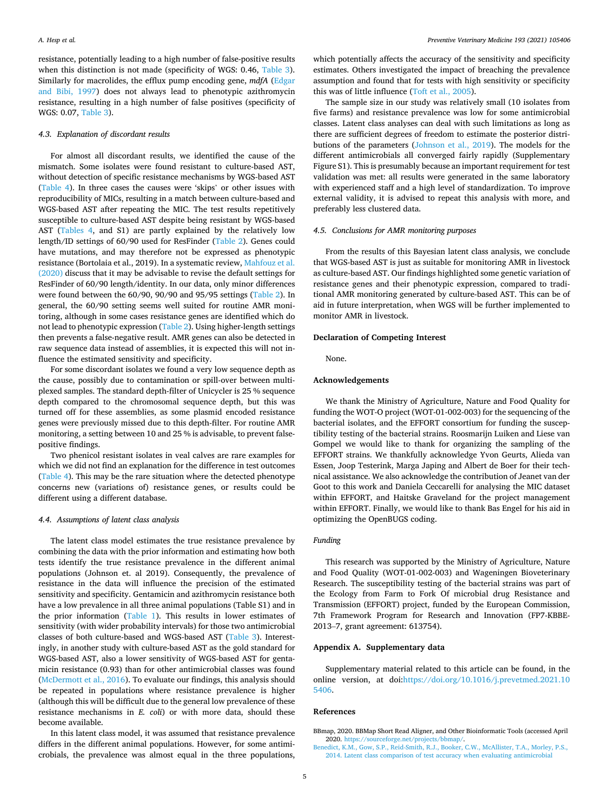<span id="page-4-0"></span>resistance, potentially leading to a high number of false-positive results when this distinction is not made (specificity of WGS: 0.46, [Table 3](#page-3-0)). Similarly for macrolides, the efflux pump encoding gene, *mdfA* [\(Edgar](#page-5-0)  [and Bibi, 1997](#page-5-0)) does not always lead to phenotypic azithromycin resistance, resulting in a high number of false positives (specificity of WGS: 0.07, [Table 3](#page-3-0)).

### *4.3. Explanation of discordant results*

For almost all discordant results, we identified the cause of the mismatch. Some isolates were found resistant to culture-based AST, without detection of specific resistance mechanisms by WGS-based AST ([Table 4\)](#page-3-0). In three cases the causes were 'skips' or other issues with reproducibility of MICs, resulting in a match between culture-based and WGS-based AST after repeating the MIC. The test results repetitively susceptible to culture-based AST despite being resistant by WGS-based AST [\(Tables 4,](#page-3-0) and S1) are partly explained by the relatively low length/ID settings of 60/90 used for ResFinder ([Table 2](#page-2-0)). Genes could have mutations, and may therefore not be expressed as phenotypic resistance (Bortolaia et al., 2019). In a systematic review, [Mahfouz et al.](#page-5-0)  [\(2020\)](#page-5-0) discuss that it may be advisable to revise the default settings for ResFinder of 60/90 length/identity. In our data, only minor differences were found between the 60/90, 90/90 and 95/95 settings ([Table 2\)](#page-2-0). In general, the 60/90 setting seems well suited for routine AMR monitoring, although in some cases resistance genes are identified which do not lead to phenotypic expression ([Table 2](#page-2-0)). Using higher-length settings then prevents a false-negative result. AMR genes can also be detected in raw sequence data instead of assemblies, it is expected this will not influence the estimated sensitivity and specificity.

For some discordant isolates we found a very low sequence depth as the cause, possibly due to contamination or spill-over between multiplexed samples. The standard depth-filter of Unicycler is 25 % sequence depth compared to the chromosomal sequence depth, but this was turned off for these assemblies, as some plasmid encoded resistance genes were previously missed due to this depth-filter. For routine AMR monitoring, a setting between 10 and 25 % is advisable, to prevent falsepositive findings.

Two phenicol resistant isolates in veal calves are rare examples for which we did not find an explanation for the difference in test outcomes ([Table 4\)](#page-3-0). This may be the rare situation where the detected phenotype concerns new (variations of) resistance genes, or results could be different using a different database.

## *4.4. Assumptions of latent class analysis*

The latent class model estimates the true resistance prevalence by combining the data with the prior information and estimating how both tests identify the true resistance prevalence in the different animal populations (Johnson et. al 2019). Consequently, the prevalence of resistance in the data will influence the precision of the estimated sensitivity and specificity. Gentamicin and azithromycin resistance both have a low prevalence in all three animal populations (Table S1) and in the prior information [\(Table 1\)](#page-2-0). This results in lower estimates of sensitivity (with wider probability intervals) for those two antimicrobial classes of both culture-based and WGS-based AST ([Table 3](#page-3-0)). Interestingly, in another study with culture-based AST as the gold standard for WGS-based AST, also a lower sensitivity of WGS-based AST for gentamicin resistance (0.93) than for other antimicrobial classes was found ([McDermott et al., 2016](#page-5-0)). To evaluate our findings, this analysis should be repeated in populations where resistance prevalence is higher (although this will be difficult due to the general low prevalence of these resistance mechanisms in *E. coli*) or with more data, should these become available.

In this latent class model, it was assumed that resistance prevalence differs in the different animal populations. However, for some antimicrobials, the prevalence was almost equal in the three populations,

which potentially affects the accuracy of the sensitivity and specificity estimates. Others investigated the impact of breaching the prevalence assumption and found that for tests with high sensitivity or specificity this was of little influence ([Toft et al., 2005\)](#page-5-0).

The sample size in our study was relatively small (10 isolates from five farms) and resistance prevalence was low for some antimicrobial classes. Latent class analyses can deal with such limitations as long as there are sufficient degrees of freedom to estimate the posterior distributions of the parameters ([Johnson et al., 2019](#page-5-0)). The models for the different antimicrobials all converged fairly rapidly (Supplementary Figure S1). This is presumably because an important requirement for test validation was met: all results were generated in the same laboratory with experienced staff and a high level of standardization. To improve external validity, it is advised to repeat this analysis with more, and preferably less clustered data.

## *4.5. Conclusions for AMR monitoring purposes*

From the results of this Bayesian latent class analysis, we conclude that WGS-based AST is just as suitable for monitoring AMR in livestock as culture-based AST. Our findings highlighted some genetic variation of resistance genes and their phenotypic expression, compared to traditional AMR monitoring generated by culture-based AST. This can be of aid in future interpretation, when WGS will be further implemented to monitor AMR in livestock.

## **Declaration of Competing Interest**

None.

## **Acknowledgements**

We thank the Ministry of Agriculture, Nature and Food Quality for funding the WOT-O project (WOT-01-002-003) for the sequencing of the bacterial isolates, and the EFFORT consortium for funding the susceptibility testing of the bacterial strains. Roosmarijn Luiken and Liese van Gompel we would like to thank for organizing the sampling of the EFFORT strains. We thankfully acknowledge Yvon Geurts, Alieda van Essen, Joop Testerink, Marga Japing and Albert de Boer for their technical assistance. We also acknowledge the contribution of Jeanet van der Goot to this work and Daniela Ceccarelli for analysing the MIC dataset within EFFORT, and Haitske Graveland for the project management within EFFORT. Finally, we would like to thank Bas Engel for his aid in optimizing the OpenBUGS coding.

# *Funding*

This research was supported by the Ministry of Agriculture, Nature and Food Quality (WOT-01-002-003) and Wageningen Bioveterinary Research. The susceptibility testing of the bacterial strains was part of the Ecology from Farm to Fork Of microbial drug Resistance and Transmission (EFFORT) project, funded by the European Commission, 7th Framework Program for Research and Innovation (FP7-KBBE-2013–7, grant agreement: 613754).

## **Appendix A. Supplementary data**

Supplementary material related to this article can be found, in the online version, at doi[:https://doi.org/10.1016/j.prevetmed.2021.10](https://doi.org/10.1016/j.prevetmed.2021.105406)  [5406.](https://doi.org/10.1016/j.prevetmed.2021.105406)

## **References**

BBmap, 2020. BBMap Short Read Aligner, and Other Bioinformatic Tools (accessed April 2020. <https://sourceforge.net/projects/bbmap/>.

[Benedict, K.M., Gow, S.P., Reid-Smith, R.J., Booker, C.W., McAllister, T.A., Morley, P.S.,](http://refhub.elsevier.com/S0167-5877(21)00150-1/sbref0010)  [2014. Latent class comparison of test accuracy when evaluating antimicrobial](http://refhub.elsevier.com/S0167-5877(21)00150-1/sbref0010)